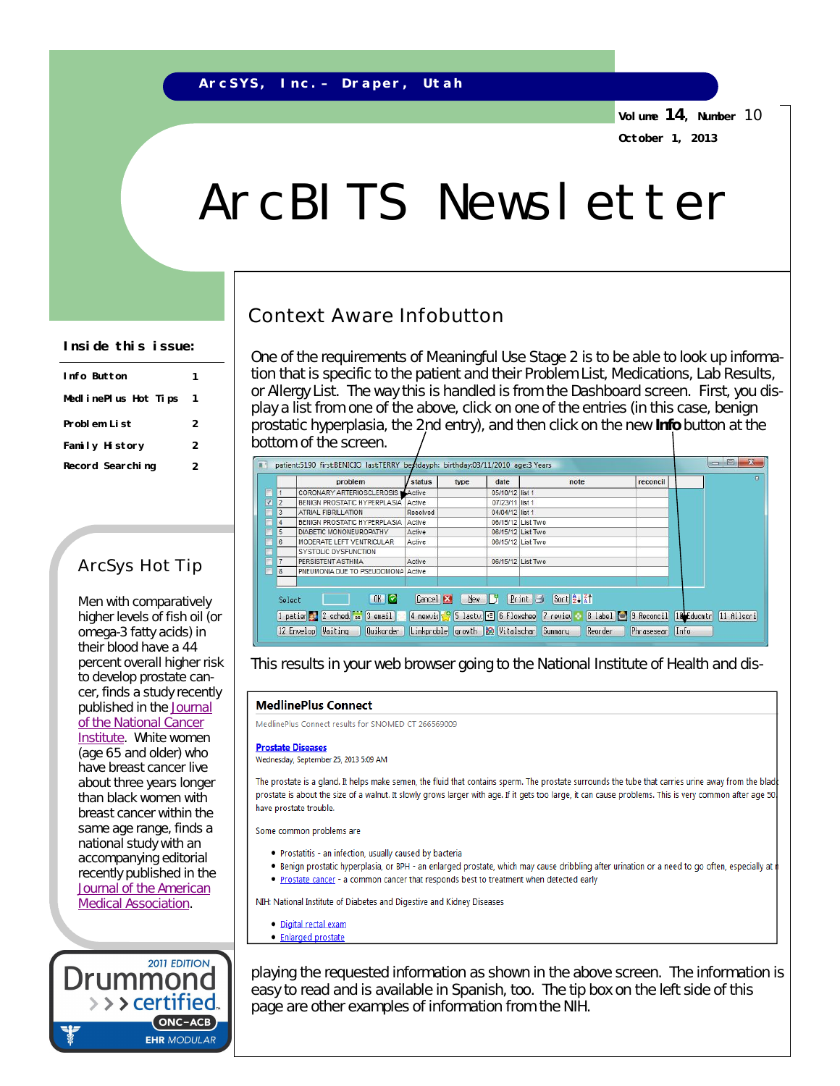**Volume 14, Number** 10 **October 1, 2013**

# ArcBITS Newsletter

## Context Aware Infobutton

One of the requirements of Meaningful Use Stage 2 is to be able to look up information that is specific to the patient and their Problem List, Medications, Lab Results, or Allergy List. The way this is handled is from the Dashboard screen. First, you display a list from one of the above, click on one of the entries (in this case, benign prostatic hyperplasia, the 2nd entry), and then click on the new **Info** button at the bottom of the screen.

| Æ |                | patient:5190 first:BENICIO last:TERRY bertdayph: birthday:03/11/2010 age:3 Years |                  |      |                   |                                                                                                   |             | 回<br>$\sum$ |
|---|----------------|----------------------------------------------------------------------------------|------------------|------|-------------------|---------------------------------------------------------------------------------------------------|-------------|-------------|
|   |                | problem                                                                          | status           | type | date              | note                                                                                              | reconcil    | $\Omega$    |
|   |                | CORONARY ARTERIOSCLEROSIS Active                                                 |                  |      | 05/10/12 list 1   |                                                                                                   |             |             |
| ⊽ | $\overline{2}$ | BENIGN PROSTATIC HYPERPLASIA Active                                              |                  |      | 07/23/11 list 1   |                                                                                                   |             |             |
|   | 3              | ATRIAL FIBRILLATION                                                              | Resolved         |      | 04/04/12 list 1   |                                                                                                   |             |             |
|   | 4              | BENIGN PROSTATIC HYPERPLASIA                                                     | Active           |      | 06/15/12 List Two |                                                                                                   |             |             |
|   | 5              | DIABETIC MONONEUROPATHY                                                          | Active           |      | 06/15/12 List Two |                                                                                                   |             |             |
|   | 6              | MODERATE LEFT VENTRICULAR                                                        | Active           |      | 06/15/12 List Two |                                                                                                   |             |             |
|   |                | SYSTOLIC DYSFUNCTION                                                             |                  |      |                   |                                                                                                   |             |             |
|   | 17             | PERSISTENT ASTHMA                                                                | Active           |      | 06/15/12 List Two |                                                                                                   |             |             |
| г | 8              | PNEUMONIA DUE TO PSEUDOMONA Active                                               |                  |      |                   |                                                                                                   |             |             |
|   |                |                                                                                  |                  |      |                   |                                                                                                   |             |             |
|   | Select         | OK<br>1 patien 2 2 schedu 28 3 email                                             | Cancel <b>EX</b> | New  | - 17              | Sor12121<br>$Print$<br>8 label 3 Reconcil 18 Educmtr<br>4 newvis 9 5 lasty: 1 6 Flowshee 7 review |             | 11 Allscri  |
|   |                | 12 Envelop Waiting<br>Ouikorder                                                  | Linkproble       |      |                   | growth <b>&amp;</b> Vitalschar Summary<br>Reorder                                                 | Phrasesearl | <b>Info</b> |

This results in your web browser going to the National Institute of Health and dis-

#### **MedlinePlus Connect**

MedlinePlus Connect results for SNOMED CT 266569009

#### **Prostate Diseases**

Wednesday, September 25, 2013 5:09 AM

The prostate is a gland. It helps make semen, the fluid that contains sperm. The prostate surrounds the tube that carries urine away from the blad prostate is about the size of a walnut. It slowly grows larger with age. If it gets too large, it can cause problems. This is very common after age 50 have prostate trouble.

Some common problems are

- . Prostatitis an infection, usually caused by bacteria
- . Benign prostatic hyperplasia, or BPH an enlarged prostate, which may cause dribbling after urination or a need to go often, especially at i
- . Prostate cancer a common cancer that responds best to treatment when detected early

NIH: National Institute of Diabetes and Digestive and Kidney Diseases

- · Digital rectal exam
- · Enlarged prostate

playing the requested information as shown in the above screen. The information is easy to read and is available in Spanish, too. The tip box on the left side of this page are other examples of information from the NIH.

### **Inside this issue:**

| Info Button          |   |  |
|----------------------|---|--|
| MedlinePlus Hot Tips |   |  |
| Problem List         | 2 |  |
| Family History       | 2 |  |
| Record Searching     | 2 |  |

## ArcSys Hot Tip

Men with comparatively higher levels of fish oil (or omega-3 fatty acids) in their blood have a 44 percent overall higher risk to develop prostate cancer, finds a study recently published in the Journal of the National Cancer Institute. White women (age 65 and older) who have breast cancer live about three years longer than black women with breast cancer within the same age range, finds a national study with an accompanying editorial recently published in the Journal of the American Medical Association.

2011 EDITION

ONC-ACB **EHR MODULAR** 

> > > certified.

Drummor